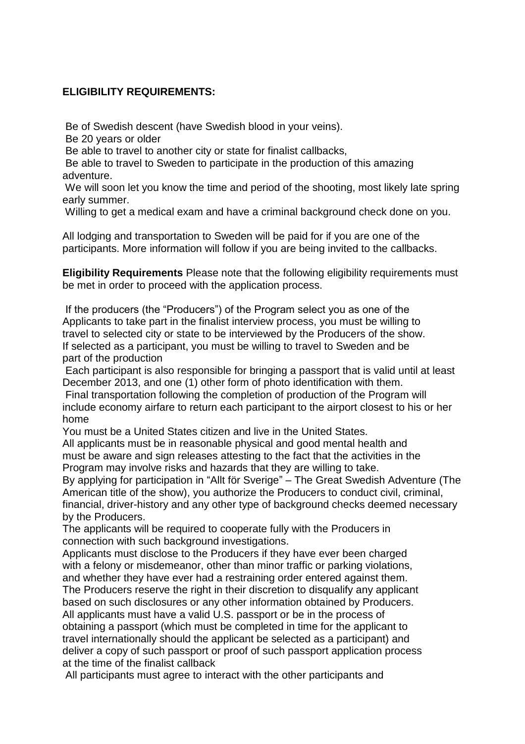## **ELIGIBILITY REQUIREMENTS:**

Be of Swedish descent (have Swedish blood in your veins).

Be 20 years or older

Be able to travel to another city or state for finalist callbacks,

Be able to travel to Sweden to participate in the production of this amazing adventure.

We will soon let you know the time and period of the shooting, most likely late spring early summer.

Willing to get a medical exam and have a criminal background check done on you.

All lodging and transportation to Sweden will be paid for if you are one of the participants. More information will follow if you are being invited to the callbacks.

**Eligibility Requirements** Please note that the following eligibility requirements must be met in order to proceed with the application process.

If the producers (the "Producers") of the Program select you as one of the Applicants to take part in the finalist interview process, you must be willing to travel to selected city or state to be interviewed by the Producers of the show. If selected as a participant, you must be willing to travel to Sweden and be part of the production

Each participant is also responsible for bringing a passport that is valid until at least December 2013, and one (1) other form of photo identification with them.

Final transportation following the completion of production of the Program will include economy airfare to return each participant to the airport closest to his or her home

You must be a United States citizen and live in the United States. All applicants must be in reasonable physical and good mental health and must be aware and sign releases attesting to the fact that the activities in the Program may involve risks and hazards that they are willing to take.

By applying for participation in "Allt för Sverige" – The Great Swedish Adventure (The American title of the show), you authorize the Producers to conduct civil, criminal, financial, driver-history and any other type of background checks deemed necessary by the Producers.

The applicants will be required to cooperate fully with the Producers in connection with such background investigations.

Applicants must disclose to the Producers if they have ever been charged with a felony or misdemeanor, other than minor traffic or parking violations, and whether they have ever had a restraining order entered against them. The Producers reserve the right in their discretion to disqualify any applicant based on such disclosures or any other information obtained by Producers. All applicants must have a valid U.S. passport or be in the process of obtaining a passport (which must be completed in time for the applicant to travel internationally should the applicant be selected as a participant) and deliver a copy of such passport or proof of such passport application process at the time of the finalist callback

All participants must agree to interact with the other participants and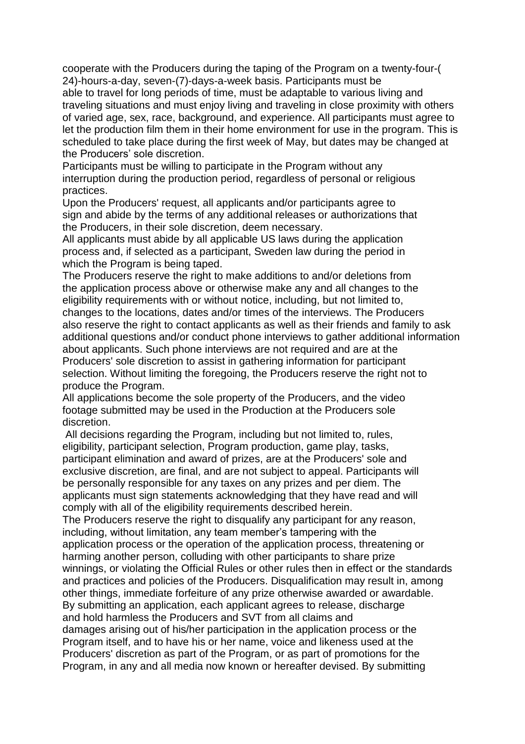cooperate with the Producers during the taping of the Program on a twenty-four-( 24)-hours-a-day, seven-(7)-days-a-week basis. Participants must be able to travel for long periods of time, must be adaptable to various living and traveling situations and must enjoy living and traveling in close proximity with others of varied age, sex, race, background, and experience. All participants must agree to let the production film them in their home environment for use in the program. This is scheduled to take place during the first week of May, but dates may be changed at the Producers' sole discretion.

Participants must be willing to participate in the Program without any interruption during the production period, regardless of personal or religious practices.

Upon the Producers' request, all applicants and/or participants agree to sign and abide by the terms of any additional releases or authorizations that the Producers, in their sole discretion, deem necessary.

All applicants must abide by all applicable US laws during the application process and, if selected as a participant, Sweden law during the period in which the Program is being taped.

The Producers reserve the right to make additions to and/or deletions from the application process above or otherwise make any and all changes to the eligibility requirements with or without notice, including, but not limited to, changes to the locations, dates and/or times of the interviews. The Producers also reserve the right to contact applicants as well as their friends and family to ask additional questions and/or conduct phone interviews to gather additional information about applicants. Such phone interviews are not required and are at the Producers' sole discretion to assist in gathering information for participant selection. Without limiting the foregoing, the Producers reserve the right not to produce the Program.

All applications become the sole property of the Producers, and the video footage submitted may be used in the Production at the Producers sole discretion.

All decisions regarding the Program, including but not limited to, rules, eligibility, participant selection, Program production, game play, tasks, participant elimination and award of prizes, are at the Producers' sole and exclusive discretion, are final, and are not subject to appeal. Participants will be personally responsible for any taxes on any prizes and per diem. The applicants must sign statements acknowledging that they have read and will comply with all of the eligibility requirements described herein. The Producers reserve the right to disqualify any participant for any reason, including, without limitation, any team member's tampering with the application process or the operation of the application process, threatening or harming another person, colluding with other participants to share prize winnings, or violating the Official Rules or other rules then in effect or the standards and practices and policies of the Producers. Disqualification may result in, among other things, immediate forfeiture of any prize otherwise awarded or awardable. By submitting an application, each applicant agrees to release, discharge and hold harmless the Producers and SVT from all claims and damages arising out of his/her participation in the application process or the Program itself, and to have his or her name, voice and likeness used at the Producers' discretion as part of the Program, or as part of promotions for the Program, in any and all media now known or hereafter devised. By submitting